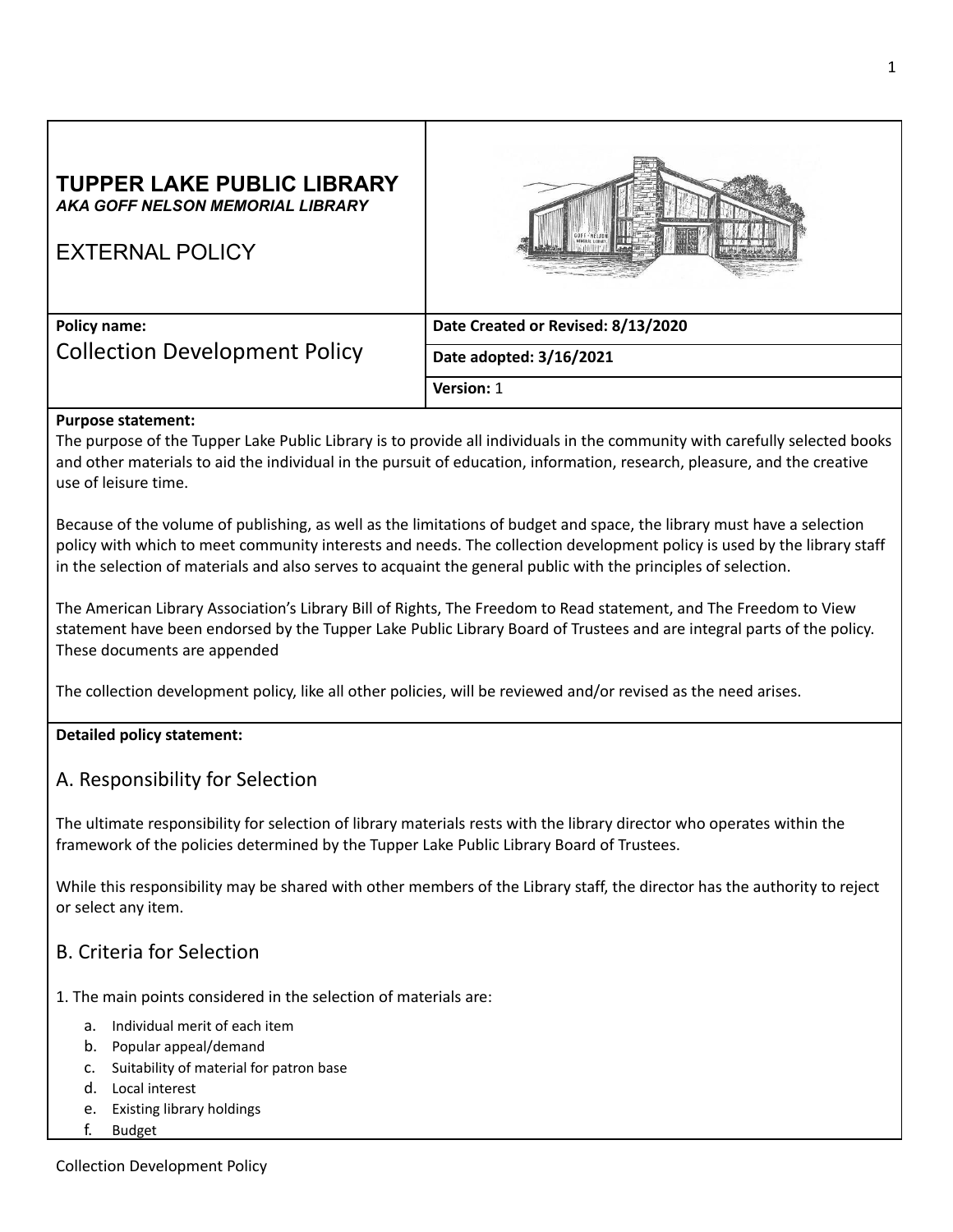### **TUPPER LAKE PUBLIC LIBRARY** *AKA GOFF NELSON MEMORIAL LIBRARY*

EXTERNAL POLICY



| Policy name:<br><b>Collection Development Policy</b> | Date Created or Revised: 8/13/2020 |
|------------------------------------------------------|------------------------------------|
|                                                      | Date adopted: 3/16/2021            |
|                                                      | Version: 1                         |

### **Purpose statement:**

The purpose of the Tupper Lake Public Library is to provide all individuals in the community with carefully selected books and other materials to aid the individual in the pursuit of education, information, research, pleasure, and the creative use of leisure time.

Because of the volume of publishing, as well as the limitations of budget and space, the library must have a selection policy with which to meet community interests and needs. The collection development policy is used by the library staff in the selection of materials and also serves to acquaint the general public with the principles of selection.

The American Library Association's Library Bill of Rights, The Freedom to Read statement, and The Freedom to View statement have been endorsed by the Tupper Lake Public Library Board of Trustees and are integral parts of the policy. These documents are appended

The collection development policy, like all other policies, will be reviewed and/or revised as the need arises.

### **Detailed policy statement:**

## A. Responsibility for Selection

The ultimate responsibility for selection of library materials rests with the library director who operates within the framework of the policies determined by the Tupper Lake Public Library Board of Trustees.

While this responsibility may be shared with other members of the Library staff, the director has the authority to reject or select any item.

# B. Criteria for Selection

- 1. The main points considered in the selection of materials are:
	- a. Individual merit of each item
	- b. Popular appeal/demand
	- c. Suitability of material for patron base
	- d. Local interest
	- e. Existing library holdings
	- f. Budget

#### Collection Development Policy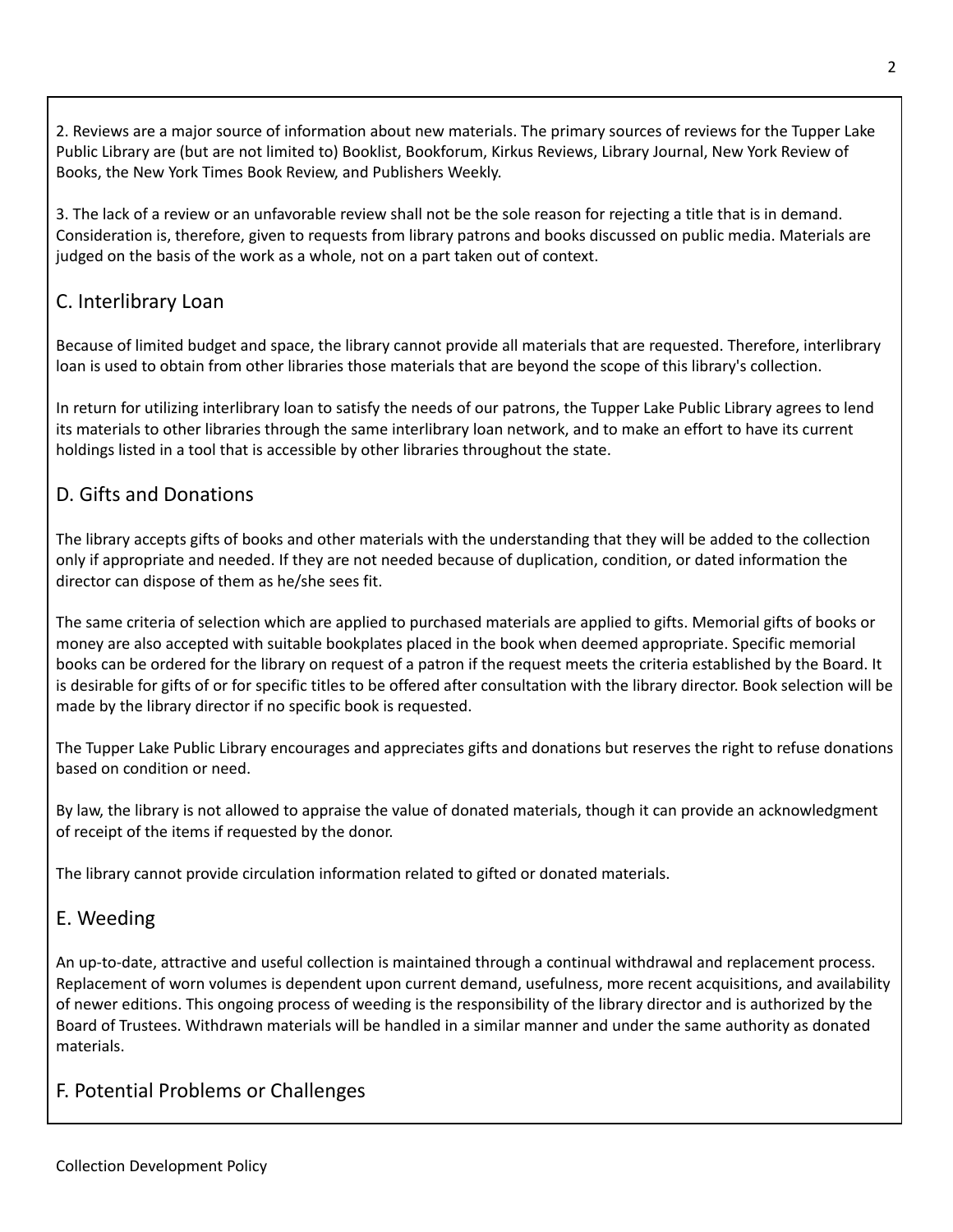2. Reviews are a major source of information about new materials. The primary sources of reviews for the Tupper Lake Public Library are (but are not limited to) Booklist, Bookforum, Kirkus Reviews, Library Journal, New York Review of Books, the New York Times Book Review, and Publishers Weekly.

3. The lack of a review or an unfavorable review shall not be the sole reason for rejecting a title that is in demand. Consideration is, therefore, given to requests from library patrons and books discussed on public media. Materials are judged on the basis of the work as a whole, not on a part taken out of context.

# C. Interlibrary Loan

Because of limited budget and space, the library cannot provide all materials that are requested. Therefore, interlibrary loan is used to obtain from other libraries those materials that are beyond the scope of this library's collection.

In return for utilizing interlibrary loan to satisfy the needs of our patrons, the Tupper Lake Public Library agrees to lend its materials to other libraries through the same interlibrary loan network, and to make an effort to have its current holdings listed in a tool that is accessible by other libraries throughout the state.

# D. Gifts and Donations

The library accepts gifts of books and other materials with the understanding that they will be added to the collection only if appropriate and needed. If they are not needed because of duplication, condition, or dated information the director can dispose of them as he/she sees fit.

The same criteria of selection which are applied to purchased materials are applied to gifts. Memorial gifts of books or money are also accepted with suitable bookplates placed in the book when deemed appropriate. Specific memorial books can be ordered for the library on request of a patron if the request meets the criteria established by the Board. It is desirable for gifts of or for specific titles to be offered after consultation with the library director. Book selection will be made by the library director if no specific book is requested.

The Tupper Lake Public Library encourages and appreciates gifts and donations but reserves the right to refuse donations based on condition or need.

By law, the library is not allowed to appraise the value of donated materials, though it can provide an acknowledgment of receipt of the items if requested by the donor.

The library cannot provide circulation information related to gifted or donated materials.

## E. Weeding

An up-to-date, attractive and useful collection is maintained through a continual withdrawal and replacement process. Replacement of worn volumes is dependent upon current demand, usefulness, more recent acquisitions, and availability of newer editions. This ongoing process of weeding is the responsibility of the library director and is authorized by the Board of Trustees. Withdrawn materials will be handled in a similar manner and under the same authority as donated materials.

## F. Potential Problems or Challenges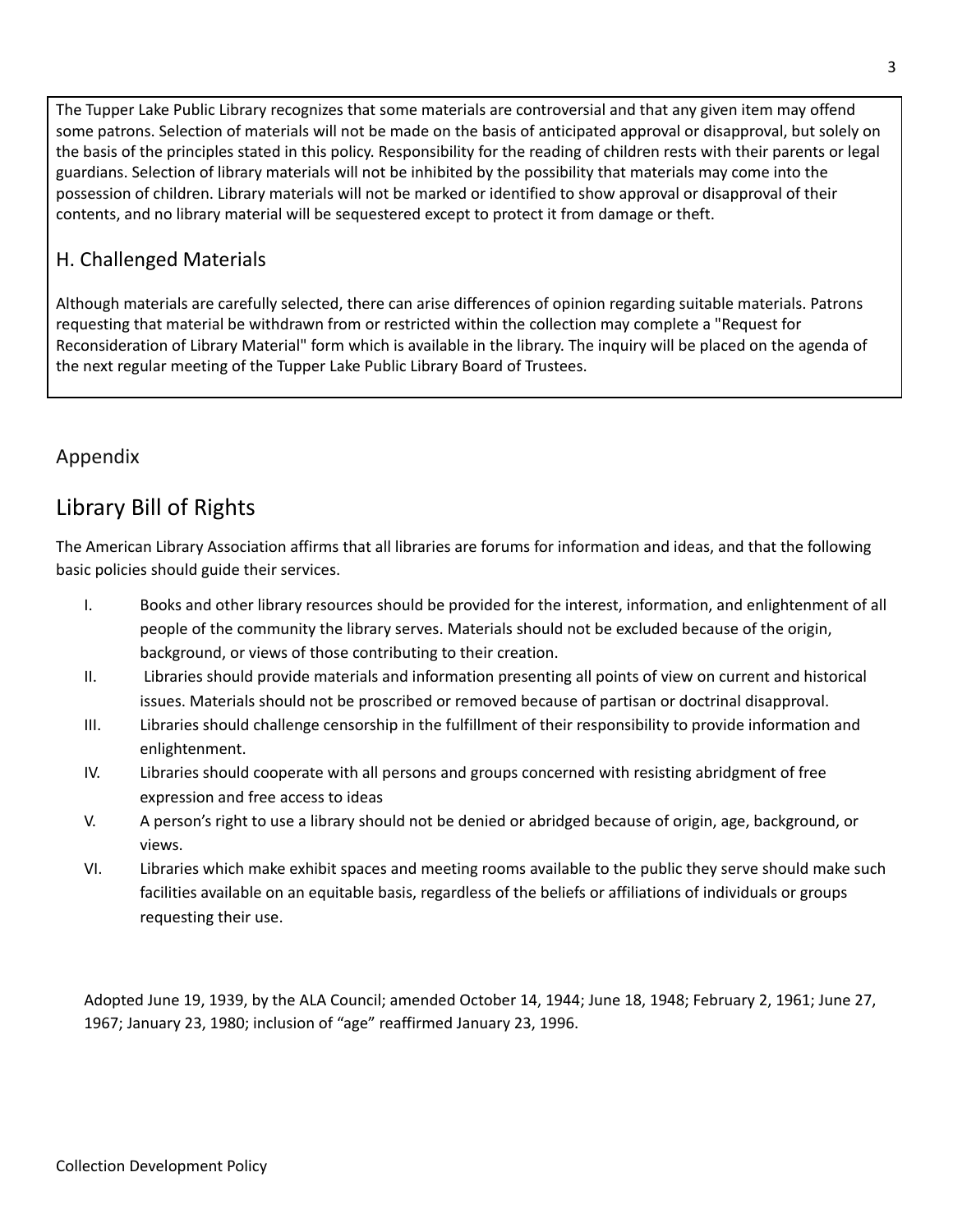The Tupper Lake Public Library recognizes that some materials are controversial and that any given item may offend some patrons. Selection of materials will not be made on the basis of anticipated approval or disapproval, but solely on the basis of the principles stated in this policy. Responsibility for the reading of children rests with their parents or legal guardians. Selection of library materials will not be inhibited by the possibility that materials may come into the possession of children. Library materials will not be marked or identified to show approval or disapproval of their contents, and no library material will be sequestered except to protect it from damage or theft.

# H. Challenged Materials

Although materials are carefully selected, there can arise differences of opinion regarding suitable materials. Patrons requesting that material be withdrawn from or restricted within the collection may complete a "Request for Reconsideration of Library Material" form which is available in the library. The inquiry will be placed on the agenda of the next regular meeting of the Tupper Lake Public Library Board of Trustees.

## Appendix

# Library Bill of Rights

The American Library Association affirms that all libraries are forums for information and ideas, and that the following basic policies should guide their services.

- I. Books and other library resources should be provided for the interest, information, and enlightenment of all people of the community the library serves. Materials should not be excluded because of the origin, background, or views of those contributing to their creation.
- II. Libraries should provide materials and information presenting all points of view on current and historical issues. Materials should not be proscribed or removed because of partisan or doctrinal disapproval.
- III. Libraries should challenge censorship in the fulfillment of their responsibility to provide information and enlightenment.
- IV. Libraries should cooperate with all persons and groups concerned with resisting abridgment of free expression and free access to ideas
- V. A person's right to use a library should not be denied or abridged because of origin, age, background, or views.
- VI. Libraries which make exhibit spaces and meeting rooms available to the public they serve should make such facilities available on an equitable basis, regardless of the beliefs or affiliations of individuals or groups requesting their use.

Adopted June 19, 1939, by the ALA Council; amended October 14, 1944; June 18, 1948; February 2, 1961; June 27, 1967; January 23, 1980; inclusion of "age" reaffirmed January 23, 1996.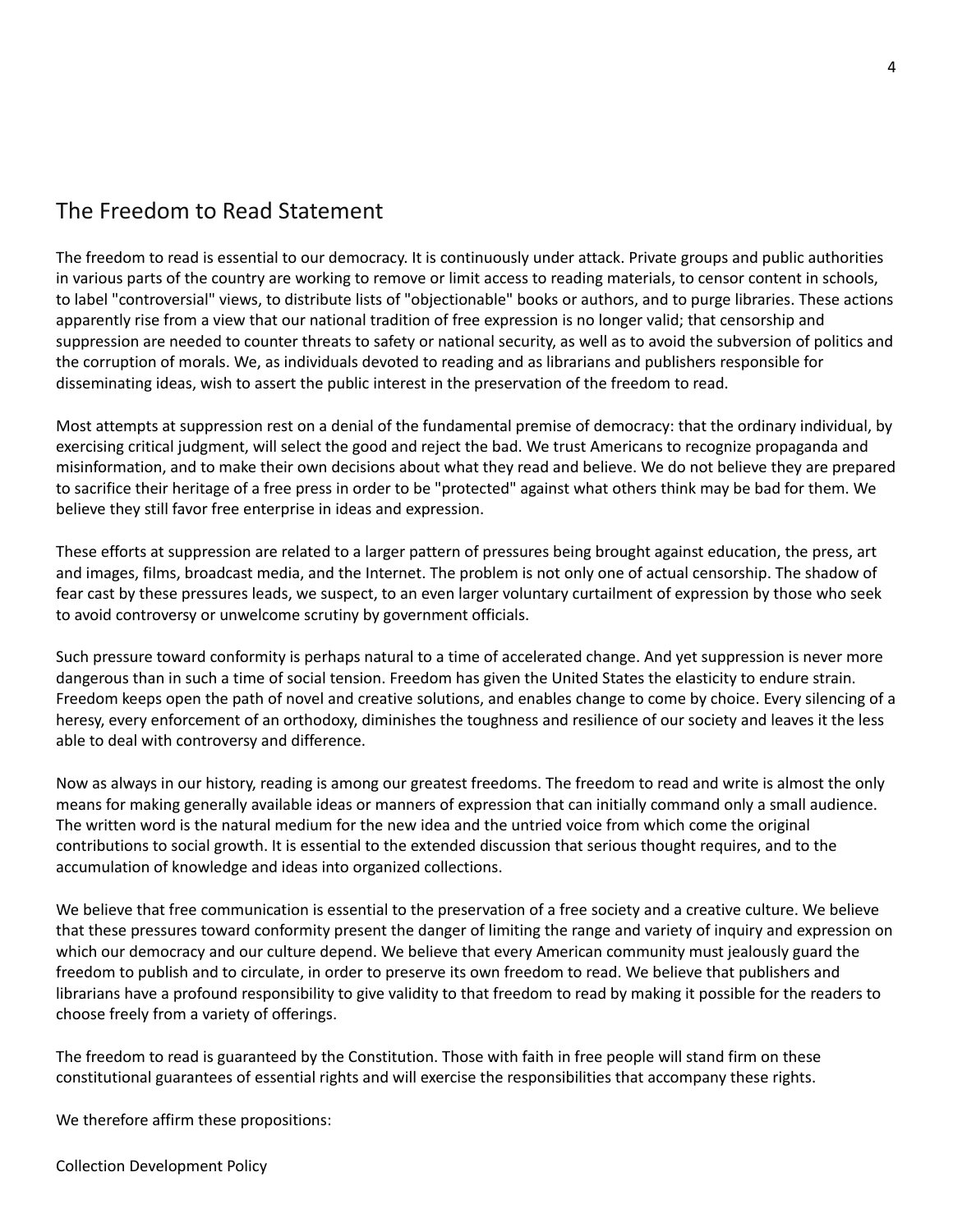# The Freedom to Read Statement

The freedom to read is essential to our democracy. It is continuously under attack. Private groups and public authorities in various parts of the country are working to remove or limit access to reading materials, to censor content in schools, to label "controversial" views, to distribute lists of "objectionable" books or authors, and to purge libraries. These actions apparently rise from a view that our national tradition of free expression is no longer valid; that censorship and suppression are needed to counter threats to safety or national security, as well as to avoid the subversion of politics and the corruption of morals. We, as individuals devoted to reading and as librarians and publishers responsible for disseminating ideas, wish to assert the public interest in the preservation of the freedom to read.

Most attempts at suppression rest on a denial of the fundamental premise of democracy: that the ordinary individual, by exercising critical judgment, will select the good and reject the bad. We trust Americans to recognize propaganda and misinformation, and to make their own decisions about what they read and believe. We do not believe they are prepared to sacrifice their heritage of a free press in order to be "protected" against what others think may be bad for them. We believe they still favor free enterprise in ideas and expression.

These efforts at suppression are related to a larger pattern of pressures being brought against education, the press, art and images, films, broadcast media, and the Internet. The problem is not only one of actual censorship. The shadow of fear cast by these pressures leads, we suspect, to an even larger voluntary curtailment of expression by those who seek to avoid controversy or unwelcome scrutiny by government officials.

Such pressure toward conformity is perhaps natural to a time of accelerated change. And yet suppression is never more dangerous than in such a time of social tension. Freedom has given the United States the elasticity to endure strain. Freedom keeps open the path of novel and creative solutions, and enables change to come by choice. Every silencing of a heresy, every enforcement of an orthodoxy, diminishes the toughness and resilience of our society and leaves it the less able to deal with controversy and difference.

Now as always in our history, reading is among our greatest freedoms. The freedom to read and write is almost the only means for making generally available ideas or manners of expression that can initially command only a small audience. The written word is the natural medium for the new idea and the untried voice from which come the original contributions to social growth. It is essential to the extended discussion that serious thought requires, and to the accumulation of knowledge and ideas into organized collections.

We believe that free communication is essential to the preservation of a free society and a creative culture. We believe that these pressures toward conformity present the danger of limiting the range and variety of inquiry and expression on which our democracy and our culture depend. We believe that every American community must jealously guard the freedom to publish and to circulate, in order to preserve its own freedom to read. We believe that publishers and librarians have a profound responsibility to give validity to that freedom to read by making it possible for the readers to choose freely from a variety of offerings.

The freedom to read is guaranteed by the Constitution. Those with faith in free people will stand firm on these constitutional guarantees of essential rights and will exercise the responsibilities that accompany these rights.

We therefore affirm these propositions:

Collection Development Policy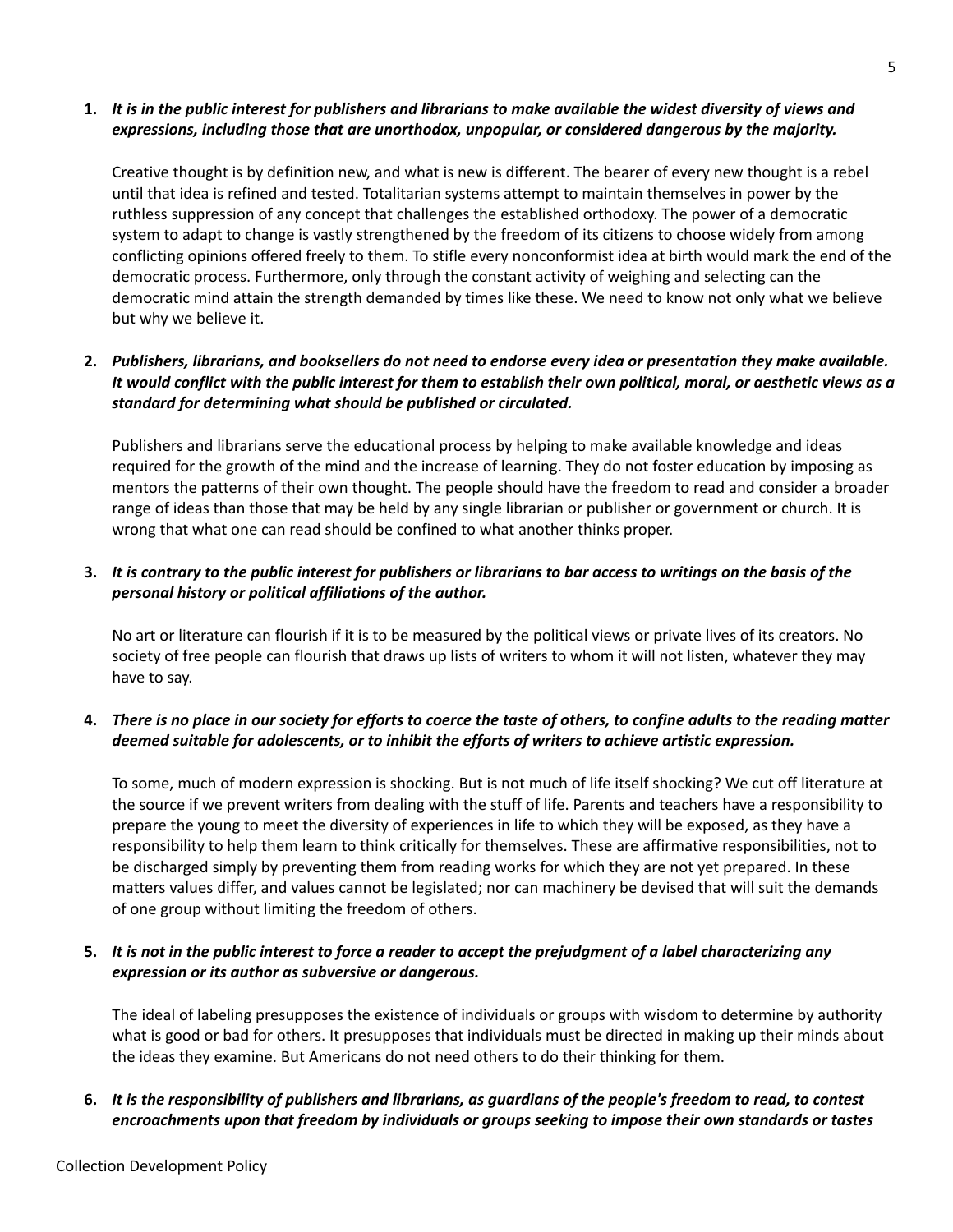### 1. It is in the public interest for publishers and librarians to make available the widest diversity of views and *expressions, including those that are unorthodox, unpopular, or considered dangerous by the majority.*

Creative thought is by definition new, and what is new is different. The bearer of every new thought is a rebel until that idea is refined and tested. Totalitarian systems attempt to maintain themselves in power by the ruthless suppression of any concept that challenges the established orthodoxy. The power of a democratic system to adapt to change is vastly strengthened by the freedom of its citizens to choose widely from among conflicting opinions offered freely to them. To stifle every nonconformist idea at birth would mark the end of the democratic process. Furthermore, only through the constant activity of weighing and selecting can the democratic mind attain the strength demanded by times like these. We need to know not only what we believe but why we believe it.

### 2. Publishers, librarians, and booksellers do not need to endorse every idea or presentation they make available. It would conflict with the public interest for them to establish their own political, moral, or aesthetic views as a *standard for determining what should be published or circulated.*

Publishers and librarians serve the educational process by helping to make available knowledge and ideas required for the growth of the mind and the increase of learning. They do not foster education by imposing as mentors the patterns of their own thought. The people should have the freedom to read and consider a broader range of ideas than those that may be held by any single librarian or publisher or government or church. It is wrong that what one can read should be confined to what another thinks proper.

### 3. It is contrary to the public interest for publishers or librarians to bar access to writings on the basis of the *personal history or political affiliations of the author.*

No art or literature can flourish if it is to be measured by the political views or private lives of its creators. No society of free people can flourish that draws up lists of writers to whom it will not listen, whatever they may have to say.

### 4. There is no place in our society for efforts to coerce the taste of others, to confine adults to the reading matter *deemed suitable for adolescents, or to inhibit the efforts of writers to achieve artistic expression.*

To some, much of modern expression is shocking. But is not much of life itself shocking? We cut off literature at the source if we prevent writers from dealing with the stuff of life. Parents and teachers have a responsibility to prepare the young to meet the diversity of experiences in life to which they will be exposed, as they have a responsibility to help them learn to think critically for themselves. These are affirmative responsibilities, not to be discharged simply by preventing them from reading works for which they are not yet prepared. In these matters values differ, and values cannot be legislated; nor can machinery be devised that will suit the demands of one group without limiting the freedom of others.

### 5. It is not in the public interest to force a reader to accept the prejudament of a label characterizing any *expression or its author as subversive or dangerous.*

The ideal of labeling presupposes the existence of individuals or groups with wisdom to determine by authority what is good or bad for others. It presupposes that individuals must be directed in making up their minds about the ideas they examine. But Americans do not need others to do their thinking for them.

### 6. It is the responsibility of publishers and librarians, as quardians of the people's freedom to read, to contest *encroachments upon that freedom by individuals or groups seeking to impose their own standards or tastes*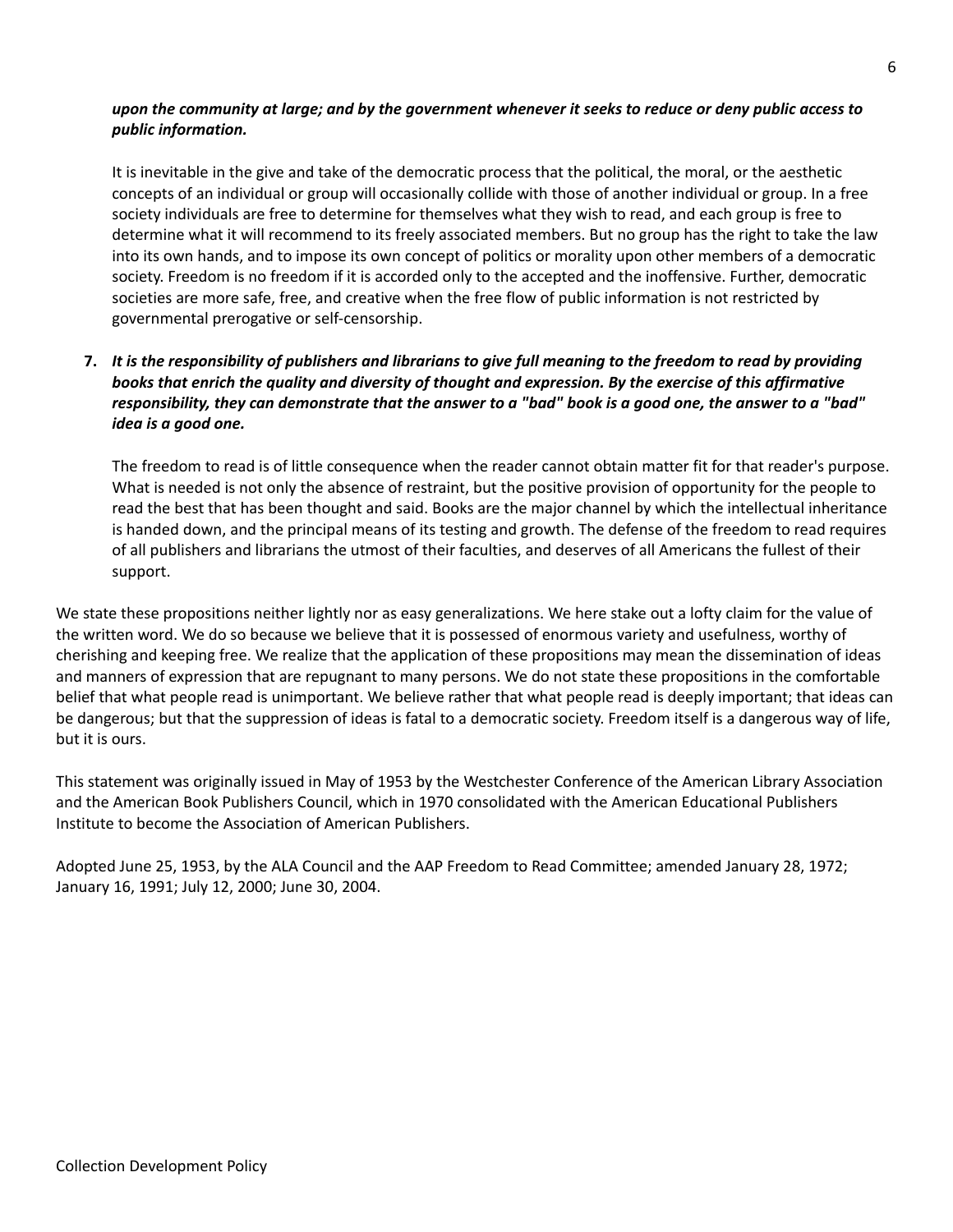### upon the community at large; and by the government whenever it seeks to reduce or deny public access to *public information.*

It is inevitable in the give and take of the democratic process that the political, the moral, or the aesthetic concepts of an individual or group will occasionally collide with those of another individual or group. In a free society individuals are free to determine for themselves what they wish to read, and each group is free to determine what it will recommend to its freely associated members. But no group has the right to take the law into its own hands, and to impose its own concept of politics or morality upon other members of a democratic society. Freedom is no freedom if it is accorded only to the accepted and the inoffensive. Further, democratic societies are more safe, free, and creative when the free flow of public information is not restricted by governmental prerogative or self-censorship.

### 7. It is the responsibility of publishers and librarians to give full meaning to the freedom to read by providing books that enrich the quality and diversity of thought and expression. By the exercise of this affirmative responsibility, they can demonstrate that the answer to a "bad" book is a good one, the answer to a "bad" *idea is a good one.*

The freedom to read is of little consequence when the reader cannot obtain matter fit for that reader's purpose. What is needed is not only the absence of restraint, but the positive provision of opportunity for the people to read the best that has been thought and said. Books are the major channel by which the intellectual inheritance is handed down, and the principal means of its testing and growth. The defense of the freedom to read requires of all publishers and librarians the utmost of their faculties, and deserves of all Americans the fullest of their support.

We state these propositions neither lightly nor as easy generalizations. We here stake out a lofty claim for the value of the written word. We do so because we believe that it is possessed of enormous variety and usefulness, worthy of cherishing and keeping free. We realize that the application of these propositions may mean the dissemination of ideas and manners of expression that are repugnant to many persons. We do not state these propositions in the comfortable belief that what people read is unimportant. We believe rather that what people read is deeply important; that ideas can be dangerous; but that the suppression of ideas is fatal to a democratic society. Freedom itself is a dangerous way of life, but it is ours.

This statement was originally issued in May of 1953 by the Westchester Conference of the American Library Association and the American Book Publishers Council, which in 1970 consolidated with the American Educational Publishers Institute to become the Association of American Publishers.

Adopted June 25, 1953, by the ALA Council and the AAP Freedom to Read Committee; amended January 28, 1972; January 16, 1991; July 12, 2000; June 30, 2004.